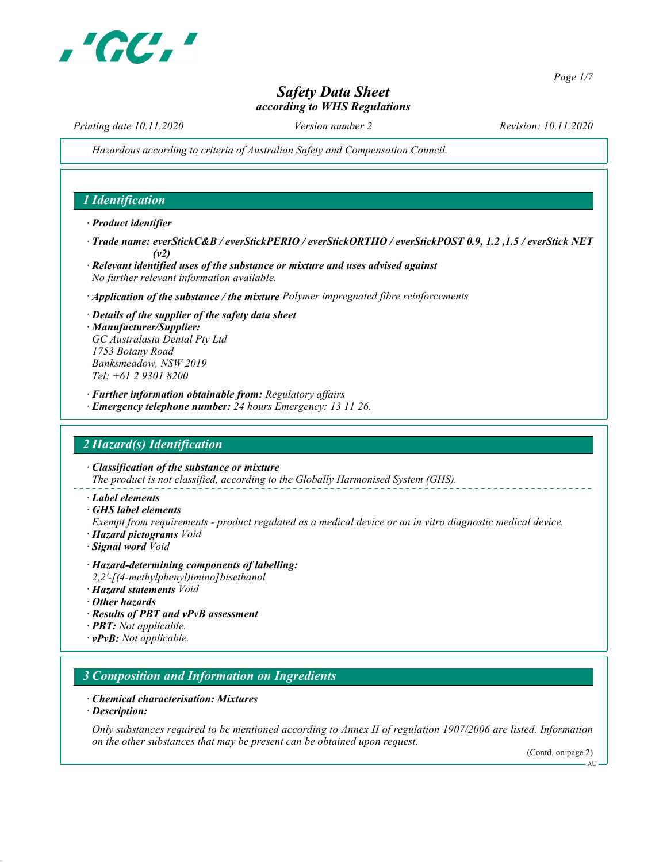

Page 1/7

# Safety Data Sheet according to WHS Regulations

Printing date 10.11.2020 Version number 2 Revision: 10.11.2020

Hazardous according to criteria of Australian Safety and Compensation Council.

## 1 Identification

· Product identifier

- · Trade name: everStickC&B / everStickPERIO / everStickORTHO / everStickPOST 0.9, 1.2 ,1.5 / everStick NET (v2)
- · Relevant identified uses of the substance or mixture and uses advised against No further relevant information available.
- · Application of the substance / the mixture Polymer impregnated fibre reinforcements
- · Details of the supplier of the safety data sheet

· Manufacturer/Supplier: GC Australasia Dental Pty Ltd 1753 Botany Road Banksmeadow, NSW 2019 Tel: +61 2 9301 8200

· Further information obtainable from: Regulatory affairs · Emergency telephone number: 24 hours Emergency: 13 11 26.

## 2 Hazard(s) Identification

· Classification of the substance or mixture The product is not classified, according to the Globally Harmonised System (GHS).

· Label elements

· GHS label elements

Exempt from requirements - product regulated as a medical device or an in vitro diagnostic medical device.

- · Hazard pictograms Void
- · Signal word Void
- · Hazard-determining components of labelling: 2,2'-[(4-methylphenyl)imino]bisethanol
- · Hazard statements Void
- · Other hazards
- · Results of PBT and vPvB assessment
- · PBT: Not applicable.
- $\cdot$  vPvB: Not applicable.

### 3 Composition and Information on Ingredients

### · Chemical characterisation: Mixtures

· Description:

Only substances required to be mentioned according to Annex II of regulation 1907/2006 are listed. Information on the other substances that may be present can be obtained upon request.

(Contd. on page 2)

AU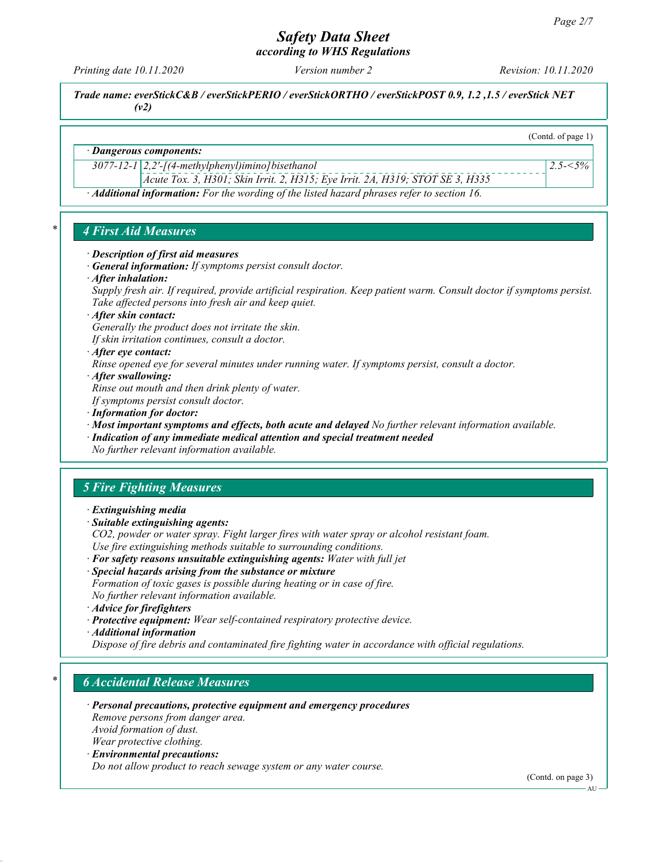according to WHS Regulations

Printing date 10.11.2020 Version number 2 Revision: 10.11.2020

(Contd. of page 1)

 $2.5 - 5\%$ 

Trade name: everStickC&B / everStickPERIO / everStickORTHO / everStickPOST 0.9, 1.2 ,1.5 / everStick NET (v2)

### · Dangerous components:

 $3077-12-1$  2,2'-[(4-methylphenyl)imino] bisethanol

Acute Tox. 3, H301; Skin Irrit. 2, H315; Eye Irrit. 2A, H319; STOT SE 3, H335

· Additional information: For the wording of the listed hazard phrases refer to section 16.

### 4 First Aid Measures

- · Description of first aid measures
- · General information: If symptoms persist consult doctor.
- · After inhalation:

Supply fresh air. If required, provide artificial respiration. Keep patient warm. Consult doctor if symptoms persist. Take affected persons into fresh air and keep quiet.

· After skin contact:

Generally the product does not irritate the skin.

If skin irritation continues, consult a doctor.

· After eye contact:

Rinse opened eye for several minutes under running water. If symptoms persist, consult a doctor.

· After swallowing:

Rinse out mouth and then drink plenty of water.

If symptoms persist consult doctor.

- · Information for doctor:
- · Most important symptoms and effects, both acute and delayed No further relevant information available.
- · Indication of any immediate medical attention and special treatment needed No further relevant information available.

# 5 Fire Fighting Measures

- · Extinguishing media
- · Suitable extinguishing agents:

CO2, powder or water spray. Fight larger fires with water spray or alcohol resistant foam. Use fire extinguishing methods suitable to surrounding conditions.

- · For safety reasons unsuitable extinguishing agents: Water with full jet
- · Special hazards arising from the substance or mixture
- Formation of toxic gases is possible during heating or in case of fire. No further relevant information available.
- · Advice for firefighters
- · Protective equipment: Wear self-contained respiratory protective device.
- · Additional information

Dispose of fire debris and contaminated fire fighting water in accordance with official regulations.

## **6 Accidental Release Measures**

· Personal precautions, protective equipment and emergency procedures Remove persons from danger area. Avoid formation of dust.

Wear protective clothing.

· Environmental precautions:

Do not allow product to reach sewage system or any water course.

(Contd. on page 3)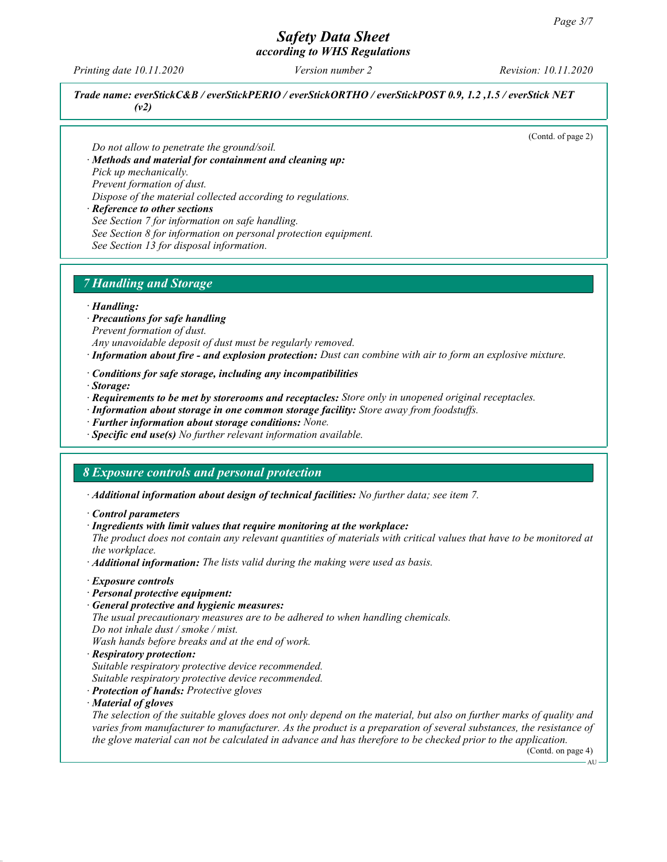# Safety Data Sheet according to WHS Regulations

Printing date 10.11.2020 Version number 2 Revision: 10.11.2020

Trade name: everStickC&B / everStickPERIO / everStickORTHO / everStickPOST 0.9, 1.2 ,1.5 / everStick NET  $(v2)$ 

(Contd. of page 2)

Do not allow to penetrate the ground/soil. · Methods and material for containment and cleaning up:

Pick up mechanically.

Prevent formation of dust.

Dispose of the material collected according to regulations.

· Reference to other sections

See Section 7 for information on safe handling.

See Section 8 for information on personal protection equipment.

See Section 13 for disposal information.

# 7 Handling and Storage

### · Handling:

- · Precautions for safe handling
- Prevent formation of dust.
- Any unavoidable deposit of dust must be regularly removed.
- · Information about fire and explosion protection: Dust can combine with air to form an explosive mixture.
- · Conditions for safe storage, including any incompatibilities
- · Storage:
- · Requirements to be met by storerooms and receptacles: Store only in unopened original receptacles.
- · Information about storage in one common storage facility: Store away from foodstuffs.
- · Further information about storage conditions: None.
- $\cdot$  Specific end use(s) No further relevant information available.

### 8 Exposure controls and personal protection

· Additional information about design of technical facilities: No further data; see item 7.

- · Control parameters
- · Ingredients with limit values that require monitoring at the workplace:

The product does not contain any relevant quantities of materials with critical values that have to be monitored at the workplace.

- · Additional information: The lists valid during the making were used as basis.
- · Exposure controls
- · Personal protective equipment:
- · General protective and hygienic measures:

The usual precautionary measures are to be adhered to when handling chemicals. Do not inhale dust / smoke / mist.

- Wash hands before breaks and at the end of work. · Respiratory protection:
- Suitable respiratory protective device recommended. Suitable respiratory protective device recommended.
- · Protection of hands: Protective gloves
- · Material of gloves

The selection of the suitable gloves does not only depend on the material, but also on further marks of quality and varies from manufacturer to manufacturer. As the product is a preparation of several substances, the resistance of the glove material can not be calculated in advance and has therefore to be checked prior to the application.

(Contd. on page 4) AU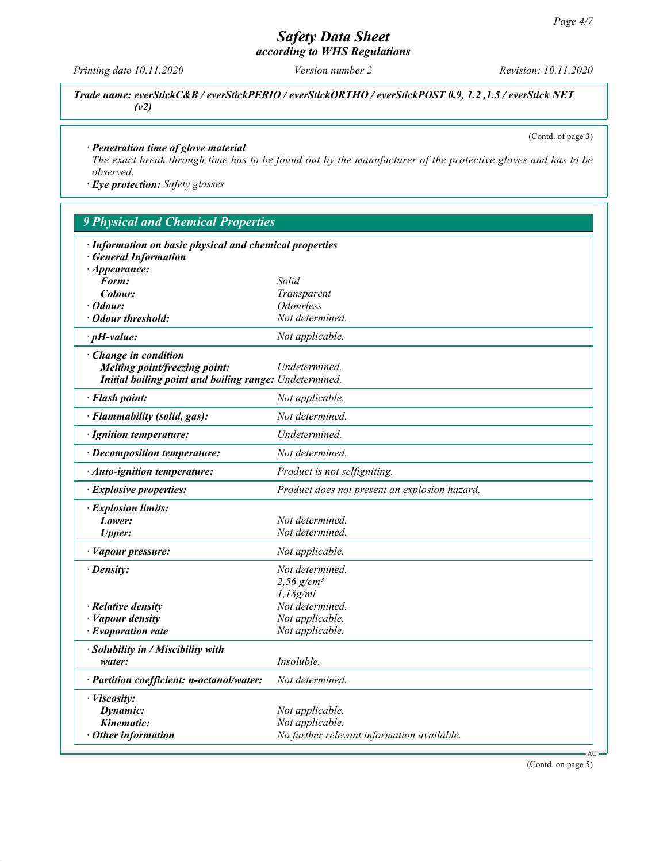according to WHS Regulations

Printing date 10.11.2020 Version number 2 Revision: 10.11.2020

Trade name: everStickC&B / everStickPERIO / everStickORTHO / everStickPOST 0.9, 1.2 ,1.5 / everStick NET (v2)

(Contd. of page 3)

### · Penetration time of glove material

The exact break through time has to be found out by the manufacturer of the protective gloves and has to be observed.

· Eye protection: Safety glasses

| <b>9 Physical and Chemical Properties</b>               |                                               |
|---------------------------------------------------------|-----------------------------------------------|
| · Information on basic physical and chemical properties |                                               |
| <b>General Information</b>                              |                                               |
| $\cdot$ Appearance:                                     |                                               |
| Form:                                                   | Solid                                         |
| Colour:                                                 | Transparent                                   |
| Odour:                                                  | <i><b>Odourless</b></i>                       |
| <b>Odour threshold:</b>                                 | Not determined.                               |
| $\cdot$ pH-value:                                       | Not applicable.                               |
| Change in condition                                     |                                               |
| Melting point/freezing point:                           | Undetermined.                                 |
| Initial boiling point and boiling range: Undetermined.  |                                               |
| · Flash point:                                          | Not applicable.                               |
| · Flammability (solid, gas):                            | Not determined.                               |
| · Ignition temperature:                                 | Undetermined.                                 |
| · Decomposition temperature:                            | Not determined.                               |
| · Auto-ignition temperature:                            | Product is not selfigniting.                  |
| · Explosive properties:                                 | Product does not present an explosion hazard. |
| · Explosion limits:                                     |                                               |
| Lower:                                                  | Not determined.                               |
| <b>Upper:</b>                                           | Not determined.                               |
| · Vapour pressure:                                      | Not applicable.                               |
| $\cdot$ Density:                                        | Not determined.                               |
|                                                         | $2,56$ g/cm <sup>3</sup>                      |
|                                                         | 1.18g/ml                                      |
| $\cdot$ Relative density                                | Not determined.                               |
| · Vapour density                                        | Not applicable.                               |
| $\cdot$ Evaporation rate                                | Not applicable.                               |
| · Solubility in / Miscibility with                      |                                               |
| water:                                                  | Insoluble.                                    |
| · Partition coefficient: n-octanol/water:               | Not determined.                               |
| · Viscosity:                                            |                                               |
| Dynamic:                                                | Not applicable.                               |
| Kinematic:                                              | Not applicable.                               |
| $\cdot$ Other information                               | No further relevant information available.    |

(Contd. on page 5)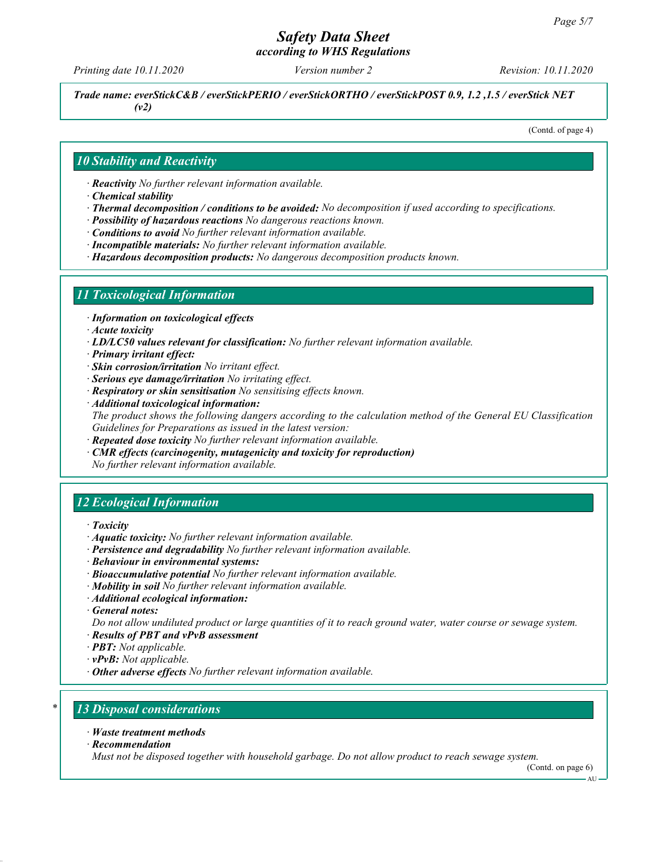# Safety Data Sheet according to WHS Regulations

Printing date 10.11.2020 Version number 2 Revision: 10.11.2020

Trade name: everStickC&B / everStickPERIO / everStickORTHO / everStickPOST 0.9, 1.2 ,1.5 / everStick NET (v2)

(Contd. of page 4)

### 10 Stability and Reactivity

· Reactivity No further relevant information available.

· Chemical stability

- · Thermal decomposition / conditions to be avoided: No decomposition if used according to specifications.
- · Possibility of hazardous reactions No dangerous reactions known.
- · Conditions to avoid No further relevant information available.
- · Incompatible materials: No further relevant information available.
- · Hazardous decomposition products: No dangerous decomposition products known.

### 11 Toxicological Information

· Information on toxicological effects

- · Acute toxicity
- $\cdot$  LD/LC50 values relevant for classification: No further relevant information available.
- · Primary irritant effect:
- · Skin corrosion/irritation No irritant effect.
- · Serious eye damage/irritation No irritating effect.
- · Respiratory or skin sensitisation No sensitising effects known.
- · Additional toxicological information:

The product shows the following dangers according to the calculation method of the General EU Classification Guidelines for Preparations as issued in the latest version:

- **Repeated dose toxicity** No further relevant information available.
- CMR effects (carcinogenity, mutagenicity and toxicity for reproduction) No further relevant information available.

## 12 Ecological Information

- · Toxicity
- · Aquatic toxicity: No further relevant information available.
- · Persistence and degradability No further relevant information available.
- · Behaviour in environmental systems:
- · Bioaccumulative potential No further relevant information available.
- · Mobility in soil No further relevant information available.
- · Additional ecological information:
- · General notes:

Do not allow undiluted product or large quantities of it to reach ground water, water course or sewage system.

- · Results of PBT and vPvB assessment
- · PBT: Not applicable.
- $\cdot$  vPvB: Not applicable.
- $\cdot$  Other adverse effects No further relevant information available.

# **13 Disposal considerations**

- · Waste treatment methods
- · Recommendation

Must not be disposed together with household garbage. Do not allow product to reach sewage system.

(Contd. on page 6)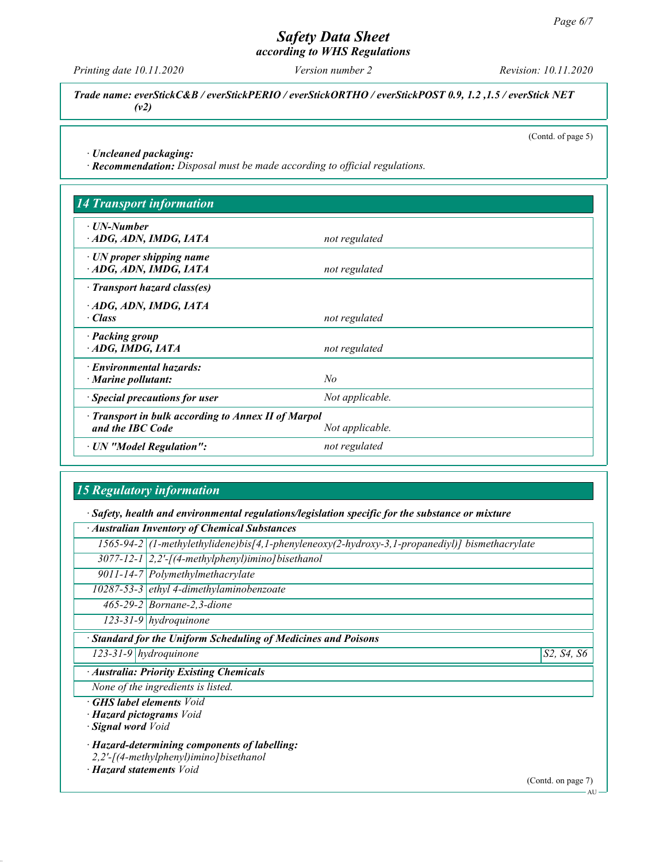according to WHS Regulations

Printing date 10.11.2020 Version number 2 Revision: 10.11.2020

Trade name: everStickC&B / everStickPERIO / everStickORTHO / everStickPOST 0.9, 1.2 ,1.5 / everStick NET (v2)

(Contd. of page 5)

· Uncleaned packaging:

· Recommendation: Disposal must be made according to official regulations.

| · UN-Number                                             |                 |  |
|---------------------------------------------------------|-----------------|--|
| ADG, ADN, IMDG, IATA                                    | not regulated   |  |
| $\cdot$ UN proper shipping name<br>ADG, ADN, IMDG, IATA | not regulated   |  |
| · Transport hazard class(es)                            |                 |  |
| ADG, ADN, IMDG, IATA<br>$\cdot$ Class                   | not regulated   |  |
| · Packing group<br>ADG, IMDG, IATA                      | not regulated   |  |
| · Environmental hazards:                                |                 |  |
| $\cdot$ Marine pollutant:                               | No              |  |
| · Special precautions for user                          | Not applicable. |  |
| Transport in bulk according to Annex II of Marpol       |                 |  |
| and the IBC Code                                        | Not applicable. |  |
| · UN "Model Regulation":                                | not regulated   |  |

# 15 Regulatory information

· Safety, health and environmental regulations/legislation specific for the substance or mixture

· Australian Inventory of Chemical Substances

|  |  | $1565-94-2$ (1-methylethylidene)bis[4,1-phenyleneoxy(2-hydroxy-3,1-propanediyl)] bismethacrylate |
|--|--|--------------------------------------------------------------------------------------------------|
|--|--|--------------------------------------------------------------------------------------------------|

 $3077-12-1$  2,2'-[(4-methylphenyl)imino] bisethanol

9011-14-7 Polymethylmethacrylate

10287-53-3 ethyl 4-dimethylaminobenzoate

465-29-2 Bornane-2,3-dione

123-31-9 hydroquinone

**Standard for the Uniform Scheduling of Medicines and Poisons** 

 $123-31-9$  hydroquinone  $\vert$  S2, S4, S6

· Australia: Priority Existing Chemicals

None of the ingredients is listed.

· GHS label elements Void

· Hazard pictograms Void

· Signal word Void

· Hazard-determining components of labelling:

2,2'-[(4-methylphenyl)imino]bisethanol

· Hazard statements Void

(Contd. on page 7)

AU